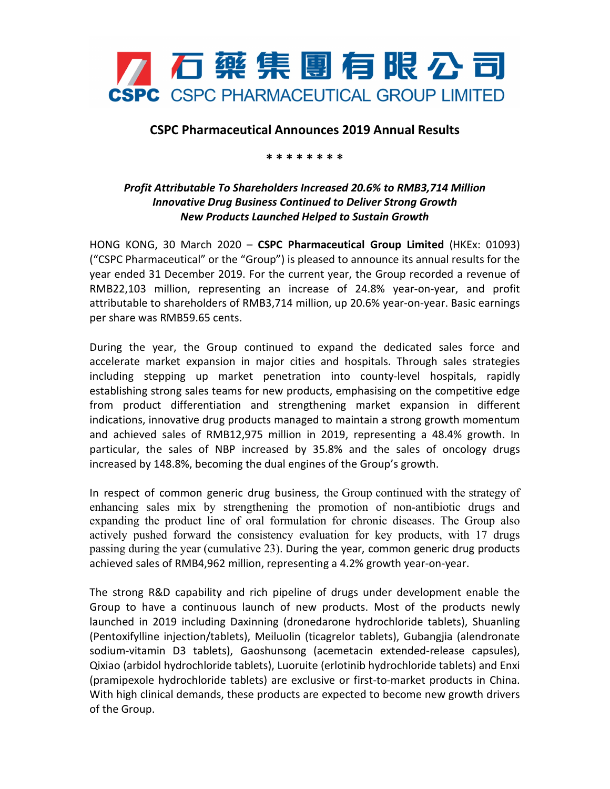

## **CSPC Pharmaceutical Announces 2019 Annual Results**

## **\* \* \* \* \* \* \* \***

## *Profit Attributable To Shareholders Increased 20.6% to RMB3,714 Million Innovative Drug Business Continued to Deliver Strong Growth New Products Launched Helped to Sustain Growth*

HONG KONG, 30 March 2020 – **CSPC Pharmaceutical Group Limited** (HKEx: 01093) ("CSPC Pharmaceutical" or the "Group") is pleased to announce its annual results for the year ended 31 December 2019. For the current year, the Group recorded a revenue of RMB22,103 million, representing an increase of 24.8% year-on-year, and profit attributable to shareholders of RMB3,714 million, up 20.6% year-on-year. Basic earnings per share was RMB59.65 cents.

During the year, the Group continued to expand the dedicated sales force and accelerate market expansion in major cities and hospitals. Through sales strategies including stepping up market penetration into county-level hospitals, rapidly establishing strong sales teams for new products, emphasising on the competitive edge from product differentiation and strengthening market expansion in different indications, innovative drug products managed to maintain a strong growth momentum and achieved sales of RMB12,975 million in 2019, representing a 48.4% growth. In particular, the sales of NBP increased by 35.8% and the sales of oncology drugs increased by 148.8%, becoming the dual engines of the Group's growth.

In respect of common generic drug business, the Group continued with the strategy of enhancing sales mix by strengthening the promotion of non-antibiotic drugs and expanding the product line of oral formulation for chronic diseases. The Group also actively pushed forward the consistency evaluation for key products, with 17 drugs passing during the year (cumulative 23). During the year, common generic drug products achieved sales of RMB4,962 million, representing a 4.2% growth year-on-year.

The strong R&D capability and rich pipeline of drugs under development enable the Group to have a continuous launch of new products. Most of the products newly launched in 2019 including Daxinning (dronedarone hydrochloride tablets), Shuanling (Pentoxifylline injection/tablets), Meiluolin (ticagrelor tablets), Gubangjia (alendronate sodium-vitamin D3 tablets), Gaoshunsong (acemetacin extended-release capsules), Qixiao (arbidol hydrochloride tablets), Luoruite (erlotinib hydrochloride tablets) and Enxi (pramipexole hydrochloride tablets) are exclusive or first-to-market products in China. With high clinical demands, these products are expected to become new growth drivers of the Group.